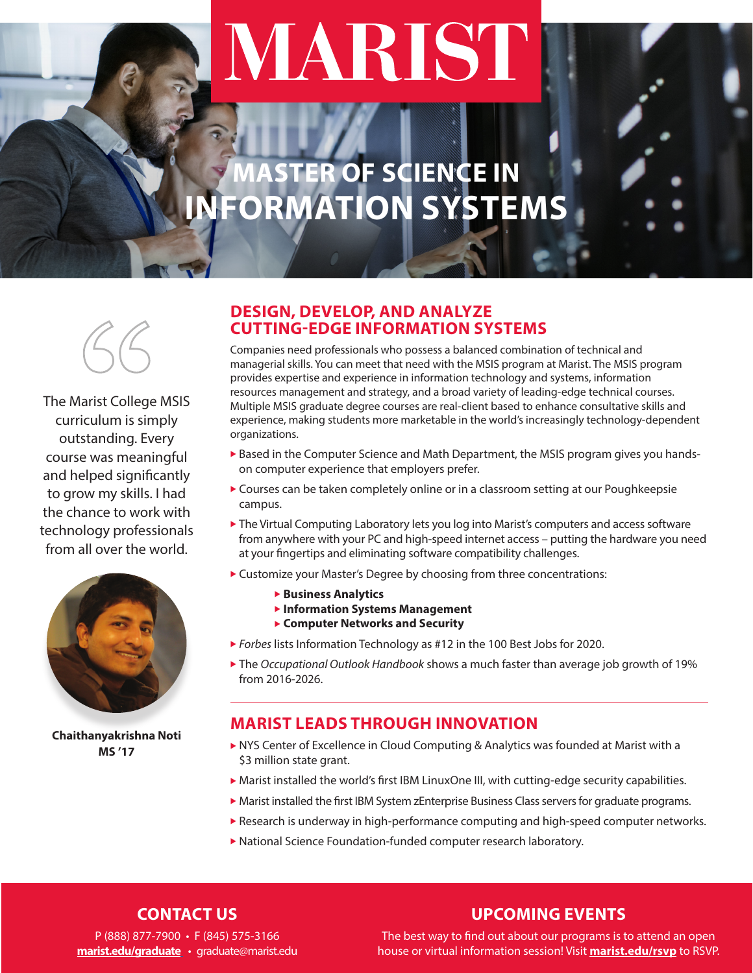# MARIST

# **MASTER OF SCIENCE IN INFORMATION SYSTEMS**



The Marist College MSIS curriculum is simply outstanding. Every course was meaningful and helped significantly to grow my skills. I had the chance to work with technology professionals from all over the world.



**Chaithanyakrishna Noti MS '17**

# **DESIGN, DEVELOP, AND ANALYZE CUTTING-EDGE INFORMATION SYSTEMS**

Companies need professionals who possess a balanced combination of technical and managerial skills. You can meet that need with the MSIS program at Marist. The MSIS program provides expertise and experience in information technology and systems, information resources management and strategy, and a broad variety of leading-edge technical courses. Multiple MSIS graduate degree courses are real-client based to enhance consultative skills and experience, making students more marketable in the world's increasingly technology-dependent organizations.

- $\blacktriangleright$  Based in the Computer Science and Math Department, the MSIS program gives you handson computer experience that employers prefer.
- ▶ Courses can be taken completely online or in a classroom setting at our Poughkeepsie campus.
- $\blacktriangleright$  The Virtual Computing Laboratory lets you log into Marist's computers and access software from anywhere with your PC and high-speed internet access – putting the hardware you need at your fingertips and eliminating software compatibility challenges.
- ▶ Customize your Master's Degree by choosing from three concentrations:
	- **Business Analytics**
	- **Information Systems Management**
	- ▶ Computer Networks and Security
- ▶ Forbes lists Information Technology as #12 in the 100 Best Jobs for 2020.
- ► The *Occupational Outlook Handbook* shows a much faster than average job growth of 19% from 2016-2026.

# **MARIST LEADS THROUGH INNOVATION**

- $\triangleright$  NYS Center of Excellence in Cloud Computing & Analytics was founded at Marist with a \$3 million state grant.
- $\blacktriangleright$  Marist installed the world's first IBM LinuxOne III, with cutting-edge security capabilities.
- $\blacktriangleright$  Marist installed the first IBM System zEnterprise Business Class servers for graduate programs.
- $\blacktriangleright$  Research is underway in high-performance computing and high-speed computer networks.
- $\blacktriangleright$  National Science Foundation-funded computer research laboratory.

# **CONTACT US**

# **UPCOMING EVENTS**

P (888) 877-7900 • F (845) 575-3166 **[marist.edu/graduate](https://www.marist.edu/admission/graduate/programs-of-study)** • graduate@marist.edu

The best way to find out about our programs is to attend an open house or virtual information session! Visit **[marist.edu/rsvp](https://www.marist.edu/admission/graduate/admission-information-session)** to RSVP.